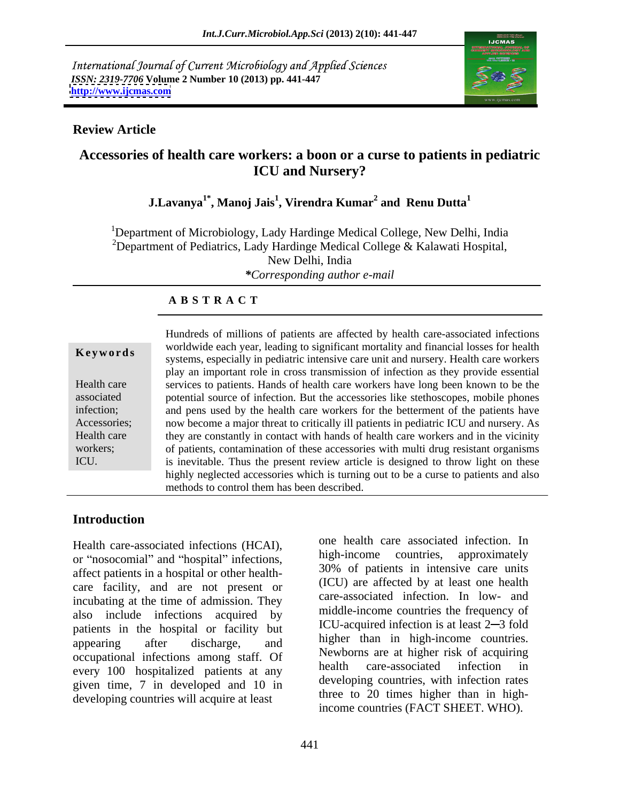International Journal of Current Microbiology and Applied Sciences *ISSN: 2319-7706* **Volume 2 Number 10 (2013) pp. 441-447 <http://www.ijcmas.com>**



## **Review Article**

# **Accessories of health care workers: a boon or a curse to patients in pediatric ICU and Nursery?**

### **J.Lavanya1\* , Manoj Jais<sup>1</sup> , Virendra Kumar<sup>2</sup> and Renu Dutta<sup>1</sup>**

<sup>1</sup>Department of Microbiology, Lady Hardinge Medical College, New Delhi, India <sup>2</sup>Department of Pediatrics, Lady Hardinge Medical College  $\&$  Kalawati Hospital, New Delhi, India *\*Corresponding author e-mail*

## **A B S T R A C T**

**Keywords** worldwide each year, identify of significant inordary and miancial losses for health systems, especially in pediatric intensive care unit and nursery. Health care workers Health care services to patients. Hands of health care workers have long been known to be the associated potential source of infection. But the accessories like stethoscopes, mobile phones infection; and pens used by the health care workers for the betterment of the patients have Accessories; now become a major threat to critically ill patients in pediatric ICU and nursery. As Health care they are constantly in contact with hands of health care workers and in the vicinity workers; of patients, contamination of these accessories with multi drug resistant organisms ICU. is inevitable. Thus the present review article is designed to throw light on these Hundreds of millions of patients are affected by health care-associated infections worldwide each year, leading to significant mortality and financial losses for health play an important role in cross transmission of infection as they provide essential highly neglected accessories which is turning out to be a curse to patients and also methods to control them has been described.

# **Introduction**

Health care-associated infections (HCAI), one nearm care associated infection. In<br>or "nosocomial" and "hospital" infections,  $\frac{high-income}{200}$  countries, approximately affect patients in a hospital or other health care facility, and are not present or incubating at the time of admission. They also include infections acquired by patients in the hospital or facility but appearing after discharge, and higher than in high-income countries. occupational infections among staff. Of her newborns are at nigher risk of acquiring<br>
nealth care-associated infection in every 100 hospitalized patients at any given time, 7 in developed and 10 in developing countries will acquire at least

one health care associated infection. In high-income countries, approximately 30% of patients in intensive care units (ICU) are affected by at least one health care-associated infection. In low- and middle-income countries the frequency of ICU-acquired infection is at least 2–3 fold higher than in high-income countries. Newborns are at higher risk of acquiring health care-associated infection in developing countries, with infection rates three to 20 times higher than in highincome countries (FACT SHEET. WHO).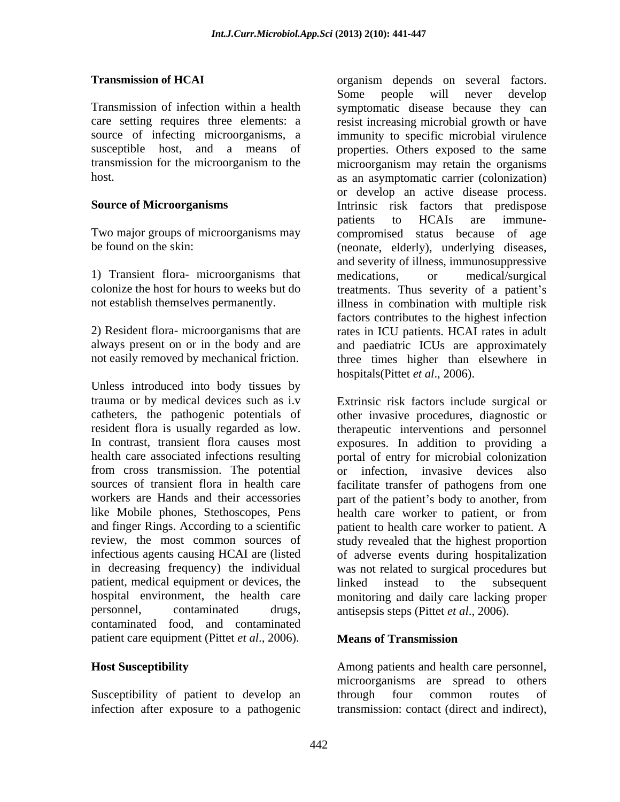1) Transient flora- microorganisms that

Unless introduced into body tissues by trauma or by medical devices such as i.v from cross transmission. The potential sources of transient flora in health care facilitate transfer of pathogens from one patient, medical equipment or devices, the linked instead to the subsequent personnel, contaminated drugs, antisepsis steps (Pittet *et al*., 2006). contaminated food, and contaminated patient care equipment (Pittet *et al*., 2006).

Susceptibility of patient to develop an through four common routes of infection after exposure to a pathogenic

**Transmission of HCAI** *organism* depends on several factors. Transmission of infection within a health symptomatic disease because they can care setting requires three elements: a resist increasing microbial growth or have source of infecting microorganisms, a immunity to specific microbial virulence susceptible host, and a means of properties. Others exposed to the same transmission for the microorganism to the microorganism may retain the organisms host. **a** as an asymptomatic carrier (colonization) Source of Microorganisms **Example 2 Intrinsic** risk factors that predispose Two major groups of microorganisms may compromised status because of age be found on the skin: (neonate, elderly), underlying diseases, colonize the host for hours to weeks but do treatments. Thus severity of a patient's not establish themselves permanently. illness in combination with multiple risk 2) Resident flora- microorganisms that are rates in ICU patients. HCAI rates in adult always present on or in the body and are and paediatric ICUs are approximately not easily removed by mechanical friction. three times higher than elsewhere in Some people will never develop or develop an active disease process. patients to HCAIs are immune and severity of illness, immunosuppressive medications, or medical/surgical factors contributes to the highest infection hospitals(Pittet *et al*., 2006).

catheters, the pathogenic potentials of other invasive procedures, diagnostic or resident flora is usually regarded as low. therapeutic interventions and personnel In contrast, transient flora causes most exposures. In addition to providing a health care associated infections resulting portal of entry for microbial colonization workers are Hands and their accessories part of the patient's body to another, from like Mobile phones, Stethoscopes, Pens health care worker to patient, or from and finger Rings. According to a scientific patient to health care worker to patient. A review, the most common sources of study revealed that the highest proportion infectious agents causing HCAI are (listed of adverse events during hospitalization in decreasing frequency) the individual was not related to surgical procedures but hospital environment, the health care monitoring and daily care lacking proper Extrinsic risk factors include surgical or or infection, invasive devices also facilitate transfer of pathogens from one linked instead to the subsequent

## **Means of Transmission**

**Host Susceptibility**  Among patients and health care personnel, microorganisms are spread to others through four common routes of transmission: contact (direct and indirect),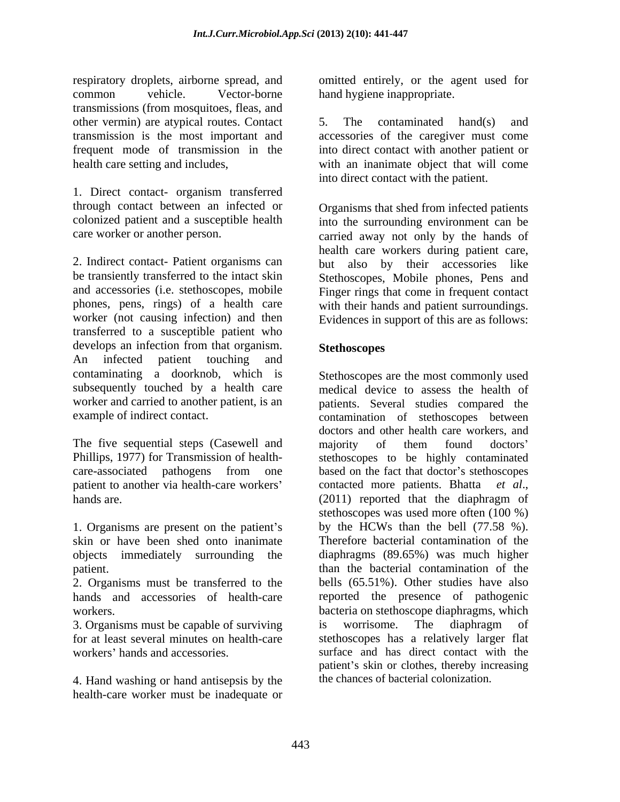respiratory droplets, airborne spread, and omitted entirely, or the agent used for common vehicle. Vector-borne hand hygiene inappropriate. transmissions (from mosquitoes, fleas, and other vermin) are atypical routes. Contact 5. The contaminated hand(s) and transmission is the most important and accessories of the caregiver must come frequent mode of transmission in the health care setting and includes, with an inanimate object that will come

1. Direct contact- organism transferred through contact between an infected or colonized patient and a susceptible health

2. Indirect contact- Patient organisms can be transiently transferred to the intact skin Stethoscopes, Mobile phones, Pens and and accessories (i.e. stethoscopes, mobile Finger rings that come in frequent contact phones, pens, rings) of a health care with their hands and patient surroundings. worker (not causing infection) and then Evidences in support of this are as follows: transferred to a susceptible patient who develops an infection from that organism. Stethoscopes An infected patient touching and **Exercise 2.1** contaminating a doorknob, which is subsequently touched by a health care worker and carried to another patient, is an

patient to another via health-care workers' contacted more patients. Bhatta et al., hands are. (2011) reported that the diaphragm of

1. Organisms are present on the patient's

2. Organisms must be transferred to the

4. Hand washing or hand antisepsis by the health-care worker must be inadequate or

5. The contaminated hand(s) and into direct contact with another patient or into direct contact with the patient.

care worker or another person. carried away not only by the hands of Organisms that shed from infected patients into the surrounding environment can be health care workers during patient care, but also by their accessories like

## **Stethoscopes**

example of indirect contact. The contamination of stethoscopes between doctors and other health care workers, and<br>The five sequential steps (Casewell and majority of them found doctors' Phillips, 1977) for Transmission of health- stethoscopes to be highly contaminated care-associated pathogens from one based on the fact that doctor's stethoscopes skin or have been shed onto inanimate Therefore bacterial contamination of the objects immediately surrounding the diaphragms (89.65%) was much higher patient. The state of the bacterial contamination of the patient. hands and accessories of health-care reported the presence of pathogenic workers. bacteria on stethoscope diaphragms, which 3. Organisms must be capable of surviving is worrisome. The diaphragm of for at least several minutes on health-care stethoscopes has a relatively larger flat workers' hands and accessories. Surface and has direct contact with the Stethoscopes are the most commonly used medical device to assess the health of patients. Several studies compared the doctors and other health care workers, and majority of them found doctors contacted more patients. Bhatta *et al*., (2011) reported that the diaphragm of stethoscopes was used more often (100 %) by the HCWs than the bell (77.58 %). bells (65.51%). Other studies have also is worrisome. The diaphragm of patient's skin or clothes, thereby increasing the chances of bacterial colonization.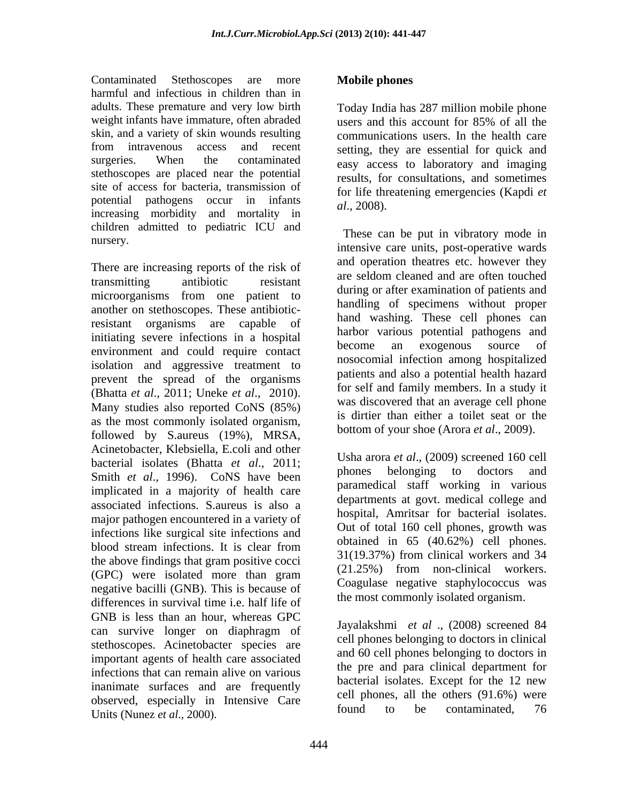Contaminated Stethoscopes are more **Mobile phones** harmful and infectious in children than in adults. These premature and very low birth Today India has 287 million mobile phone weight infants have immature, often abraded users and this account for 85% of all the skin, and a variety of skin wounds resulting from intravenous access and recent setting, they are essential for quick and surgeries. When the contaminated easy access to laboratory and imaging stethoscopes are placed near the potential site of access for bacteria, transmission of potential pathogens occur in infants  $al., 2008$ . increasing morbidity and mortality in children admitted to pediatric ICU and

There are increasing reports of the risk of and operation meanes etc. nowever they are seldom cleaned and are often touched transmitting antibiotic resistant are sensity and are often touched microorganisms from one patient to another on stethoscopes. These antibioticresistant organisms are capable of initiating severe infections in a hospital that the come and exogenous source of an exogenous source of environment and could require contact isolation and aggressive treatment to prevent the spread of the organisms (Bhatta *et al*., 2011; Uneke *et al*., 2010). Many studies also reported CoNS (85%) as the most commonly isolated organism, followed by S.aureus (19%), MRSA, Acinetobacter, Klebsiella, E.coli and other bacterial isolates (Bhatta *et al.*, 2011;<br>Smith at  $I_1$ , 1006). GeNS have been phones belonging to doctors and Smith *et al*., 1996). CoNS have been implicated in a majority of health care associated infections. S.aureus is also a major pathogen encountered in a variety of infections like surgical site infections and blood stream infections. It is clear from  $\frac{1}{21(10.270)}$  (40.02%) can phone. the above findings that gram positive cocci  $(GPC)$  were isolated more than gram  $(GPC)$  is the contract workers. negative bacilli (GNB). This is because of differences in survival time i.e. half life of GNB is less than an hour, whereas GPC can survive longer on diaphragm of stethoscopes. Acinetobacter species are important agents of health care associated infections that can remain alive on various inanimate surfaces and are frequently observed, especially in Intensive Care  $\frac{\text{cell}}{\text{found}}$  to be contaminated. 76 Units (Nunez *et al*., 2000).

## **Mobile phones**

users and this account for 85% of all the communications users. In the health care results, for consultations, and sometimes for life threatening emergencies (Kapdi *et al*., 2008).

nursery.<br>intensive care units, post-operative wards These can be put in vibratory mode in and operation theatres etc. however they are seldom cleaned and are often touched during or after examination of patients and handling of specimens without proper hand washing. These cell phones can harbor various potential pathogens and become an exogenous source of nosocomial infection among hospitalized patients and also a potential health hazard for self and family members. In a study it was discovered that an average cell phone is dirtier than either a toilet seat or the bottom of your shoe (Arora *et al*., 2009).

> Usha arora *et al*., (2009) screened 160 cell phones belonging to doctors and paramedical staff working in various departments at govt. medical college and hospital, Amritsar for bacterial isolates. Out of total 160 cell phones, growth was obtained in 65 (40.62%) cell phones. 31(19.37%) from clinical workers and 34 (21.25%) from non-clinical workers. Coagulase negative staphylococcus was the most commonly isolated organism.

Jayalakshmi *et al* ., (2008) screened 84 cell phones belonging to doctors in clinical and 60 cell phones belonging to doctors in the pre and para clinical department for bacterial isolates. Except for the 12 new cell phones, all the others (91.6%) were found to be contaminated, 76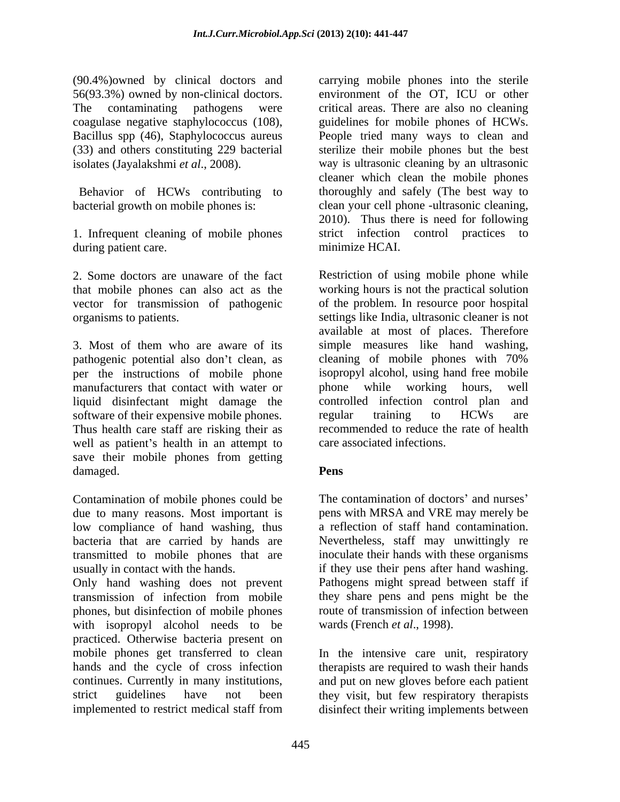(90.4%)owned by clinical doctors and carrying mobile phones into the sterile 56(93.3%) owned by non-clinical doctors. The contaminating pathogens were critical areas. There are also no cleaning coagulase negative staphylococcus (108), Bacillus spp (46), Staphylococcus aureus People tried many ways to clean and (33) and others constituting 229 bacterial

Behavior of HCWs contributing to

1. Infrequent cleaning of mobile phones during patient care.

vector for transmission of pathogenic

3. Most of them who are aware of its simple measures like hand washing, pathogenic potential also don't clean, as cleaning of mobile phones with 70% per the instructions of mobile phone isopropyl alcohol, using hand free mobile manufacturers that contact with water or blone while working hours, well liquid disinfectant might damage the software of their expensive mobile phones. The regular training to HCWs are Thus health care staff are risking their as well as patient's health in an attempt to save their mobile phones from getting damaged. **Pens** 

Contamination of mobile phones could be low compliance of hand washing, thus

Only hand washing does not prevent Pathogens might spread between staff if transmission of infection from mobile they share pens and pens might be the phones, but disinfection of mobile phones with isopropyl alcohol needs to be practiced. Otherwise bacteria present on mobile phones get transferred to clean In the intensive care unit, respiratory hands and the cycle of cross infection continues. Currently in many institutions, and put on new gloves before each patient strict guidelines have not been they visit, but few respiratory therapists

isolates (Jayalakshmi *et al*., 2008). way is ultrasonic cleaning by an ultrasonic bacterial growth on mobile phones is:<br>
2010). Thus there is need for following environment of the OT, ICU or other guidelines for mobile phones of HCWs. sterilize their mobile phones but the best cleaner which clean the mobile phones thoroughly and safely (The best way to clean your cell phone -ultrasonic cleaning, 2010). Thus there is need for following strict infection control practices to minimize HCAI.

2. Some doctors are unaware of the fact Restriction of using mobile phone while that mobile phones can also act as the working hours is not the practical solution organisms to patients. settings like India, ultrasonic cleaner is not of the problem. In resource poor hospital available at most of places. Therefore phone while working hours, well controlled infection control plan and regular training to HCWs are recommended to reduce the rate of health care associated infections.

## **Pens**

due to many reasons. Most important is pens with MRSA and VRE may merely be bacteria that are carried by hands are Nevertheless, staff may unwittingly re transmitted to mobile phones that are inoculate their hands with these organisms usually in contact with the hands. if they use their pens after hand washing. The contamination of doctors' and nurses' a reflection of staff hand contamination. route of transmission of infection between wards (French *et al*., 1998).

implemented to restrict medical staff from disinfect their writing implements betweentherapists are required to wash their hands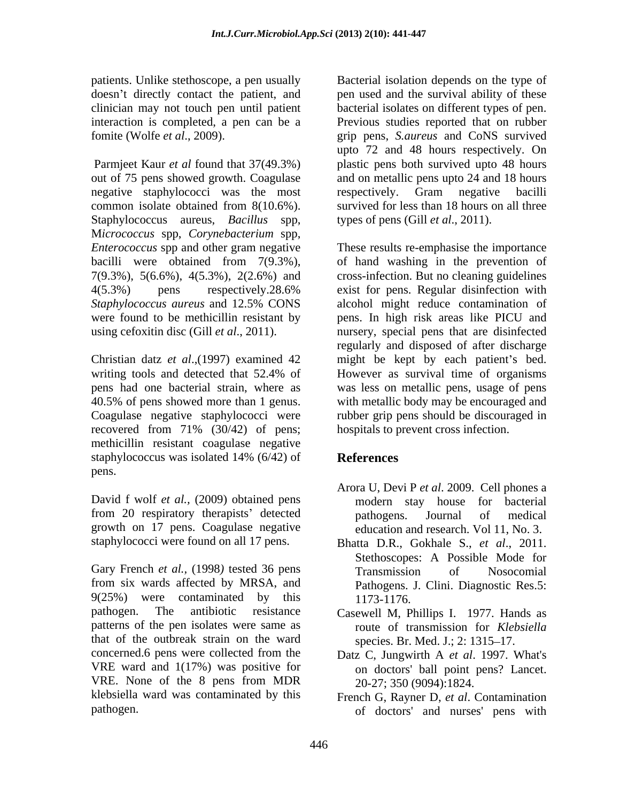out of 75 pens showed growth. Coagulase and on metallic pens upto 24 and 18 hours negative staphylococci was the most respectively. Gram negative bacilli common isolate obtained from 8(10.6%). survived for less than 18 hours on all three Staphylococcus aureus, *Bacillus* spp, M*icrococcus* spp, *Corynebacterium* spp, *Enterococcus* spp and other gram negative bacilli were obtained from 7(9.3%), of hand washing in the prevention of 7(9.3%), 5(6.6%), 4(5.3%), 2(2.6%) and 4(5.3%) pens respectively.28.6% exist for pens. Regular disinfection with *Staphylococcus aureus* and 12.5% CONS were found to be methicillin resistant by pens. In high risk areas like PICU and using cefoxitin disc (Gill *et al*., 2011). nursery, special pens that are disinfected

recovered from 71% (30/42) of pens; methicillin resistant coagulase negative staphylococcus was isolated 14% (6/42) of **References** pens.

David f wolf *et al.,* (2009) obtained pens from 20 respiratory therapists' detected bathogens. Journal of medical growth on 17 pens. Coagulase negative education and research. Vol 11, No. 3. staphylococci were found on all 17 pens. Bhatta D.R., Gokhale S., et al., 2011.

Gary French *et al.*, (1998) tested 36 pens Transmission of Nosocomial from six wards affected by MRSA, and  $9(25%)$  were contaminated by this  $1173-1176$ . pathogen. The antibiotic resistance Casewell M, Phillips I. 1977. Hands as patterns of the pen isolates were same as that of the outbreak strain on the ward concerned.6 pens were collected from the VRE ward and 1(17%) was positive for VRE. None of the 8 pens from MDR klebsiella ward was contaminated by this French G, Rayner D, *et al*. Contamination

patients. Unlike stethoscope, a pen usually Bacterial isolation depends on the type of doesn't directly contact the patient, and pen used and the survival ability of these clinician may not touch pen until patient bacterial isolates on different types of pen. interaction is completed, a pen can be a Previous studies reported that on rubber fomite (Wolfe *et al*., 2009). grip pens, *S.aureus* and CoNS survived Parmjeet Kaur *et al* found that 37(49.3%) plastic pens both survived upto 48 hours upto 72 and 48 hours respectively. On respectively. Gram negative bacilli types of pens (Gill *et al*., 2011).

Christian datz *et al.*,(1997) examined 42 might be kept by each patient's bed. writing tools and detected that 52.4% of However as survival time of organisms pens had one bacterial strain, where as was less on metallic pens, usage of pens 40.5% of pens showed more than 1 genus. with metallic body may be encouraged and Coagulase negative staphylococci were rubber grip pens should be discouraged in These results re-emphasise the importance cross-infection. But no cleaning guidelines exist for pens. Regular disinfection with alcohol might reduce contamination of regularly and disposed of after discharge However as survival time of organisms hospitals to prevent cross infection.

# **References**

- Arora U, Devi P *et al*. 2009. Cell phones a modern stay house for bacterial pathogens. Journal of medical
- education and research. Vol 11, No. 3. Bhatta D.R., Gokhale S., *et al*., 2011. Stethoscopes: A Possible Mode for Transmission of Nosocomial Pathogens. J. Clini. Diagnostic Res.5: 1173-1176.
- route of transmission for *Klebsiella* species. Br. Med. J.; 2: 1315–17.
- Datz C, Jungwirth A *et al*. 1997. What's on doctors' ball point pens? Lancet. 20-27; 350 (9094):1824.
- pathogen. of doctors' and nurses' pens with